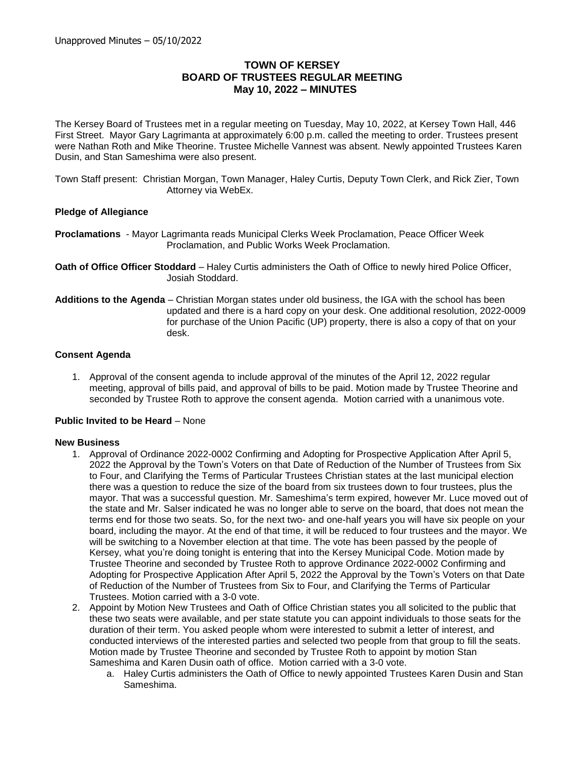# **TOWN OF KERSEY BOARD OF TRUSTEES REGULAR MEETING May 10, 2022 – MINUTES**

The Kersey Board of Trustees met in a regular meeting on Tuesday, May 10, 2022, at Kersey Town Hall, 446 First Street. Mayor Gary Lagrimanta at approximately 6:00 p.m. called the meeting to order. Trustees present were Nathan Roth and Mike Theorine. Trustee Michelle Vannest was absent. Newly appointed Trustees Karen Dusin, and Stan Sameshima were also present.

Town Staff present: Christian Morgan, Town Manager, Haley Curtis, Deputy Town Clerk, and Rick Zier, Town Attorney via WebEx.

## **Pledge of Allegiance**

- **Proclamations**  Mayor Lagrimanta reads Municipal Clerks Week Proclamation, Peace Officer Week Proclamation, and Public Works Week Proclamation.
- **Oath of Office Officer Stoddard** Haley Curtis administers the Oath of Office to newly hired Police Officer, Josiah Stoddard.
- **Additions to the Agenda** Christian Morgan states under old business, the IGA with the school has been updated and there is a hard copy on your desk. One additional resolution, 2022-0009 for purchase of the Union Pacific (UP) property, there is also a copy of that on your desk.

## **Consent Agenda**

1. Approval of the consent agenda to include approval of the minutes of the April 12, 2022 regular meeting, approval of bills paid, and approval of bills to be paid. Motion made by Trustee Theorine and seconded by Trustee Roth to approve the consent agenda. Motion carried with a unanimous vote.

### **Public Invited to be Heard** – None

### **New Business**

- 1. Approval of Ordinance 2022-0002 Confirming and Adopting for Prospective Application After April 5, 2022 the Approval by the Town's Voters on that Date of Reduction of the Number of Trustees from Six to Four, and Clarifying the Terms of Particular Trustees Christian states at the last municipal election there was a question to reduce the size of the board from six trustees down to four trustees, plus the mayor. That was a successful question. Mr. Sameshima's term expired, however Mr. Luce moved out of the state and Mr. Salser indicated he was no longer able to serve on the board, that does not mean the terms end for those two seats. So, for the next two- and one-half years you will have six people on your board, including the mayor. At the end of that time, it will be reduced to four trustees and the mayor. We will be switching to a November election at that time. The vote has been passed by the people of Kersey, what you're doing tonight is entering that into the Kersey Municipal Code. Motion made by Trustee Theorine and seconded by Trustee Roth to approve Ordinance 2022-0002 Confirming and Adopting for Prospective Application After April 5, 2022 the Approval by the Town's Voters on that Date of Reduction of the Number of Trustees from Six to Four, and Clarifying the Terms of Particular Trustees. Motion carried with a 3-0 vote.
- 2. Appoint by Motion New Trustees and Oath of Office Christian states you all solicited to the public that these two seats were available, and per state statute you can appoint individuals to those seats for the duration of their term. You asked people whom were interested to submit a letter of interest, and conducted interviews of the interested parties and selected two people from that group to fill the seats. Motion made by Trustee Theorine and seconded by Trustee Roth to appoint by motion Stan Sameshima and Karen Dusin oath of office. Motion carried with a 3-0 vote.
	- a. Haley Curtis administers the Oath of Office to newly appointed Trustees Karen Dusin and Stan Sameshima.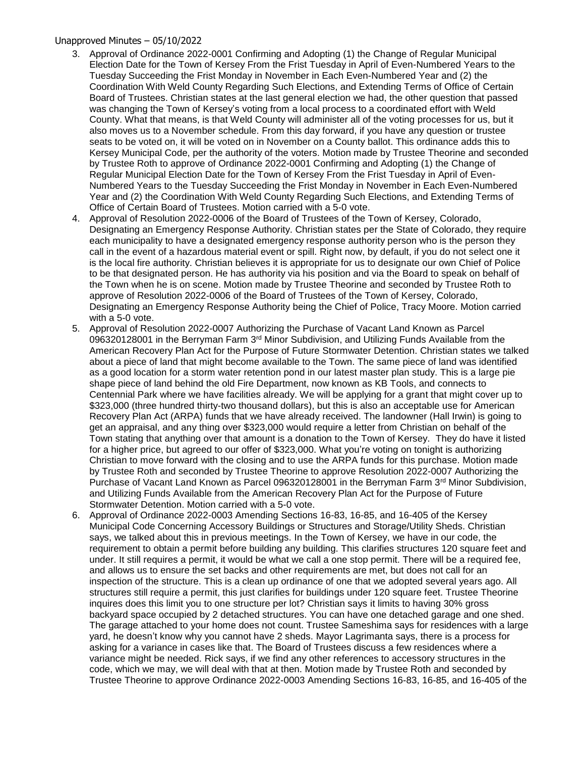## Unapproved Minutes – 05/10/2022

- 3. Approval of Ordinance 2022-0001 Confirming and Adopting (1) the Change of Regular Municipal Election Date for the Town of Kersey From the Frist Tuesday in April of Even-Numbered Years to the Tuesday Succeeding the Frist Monday in November in Each Even-Numbered Year and (2) the Coordination With Weld County Regarding Such Elections, and Extending Terms of Office of Certain Board of Trustees. Christian states at the last general election we had, the other question that passed was changing the Town of Kersey's voting from a local process to a coordinated effort with Weld County. What that means, is that Weld County will administer all of the voting processes for us, but it also moves us to a November schedule. From this day forward, if you have any question or trustee seats to be voted on, it will be voted on in November on a County ballot. This ordinance adds this to Kersey Municipal Code, per the authority of the voters. Motion made by Trustee Theorine and seconded by Trustee Roth to approve of Ordinance 2022-0001 Confirming and Adopting (1) the Change of Regular Municipal Election Date for the Town of Kersey From the Frist Tuesday in April of Even-Numbered Years to the Tuesday Succeeding the Frist Monday in November in Each Even-Numbered Year and (2) the Coordination With Weld County Regarding Such Elections, and Extending Terms of Office of Certain Board of Trustees. Motion carried with a 5-0 vote.
- 4. Approval of Resolution 2022-0006 of the Board of Trustees of the Town of Kersey, Colorado, Designating an Emergency Response Authority. Christian states per the State of Colorado, they require each municipality to have a designated emergency response authority person who is the person they call in the event of a hazardous material event or spill. Right now, by default, if you do not select one it is the local fire authority. Christian believes it is appropriate for us to designate our own Chief of Police to be that designated person. He has authority via his position and via the Board to speak on behalf of the Town when he is on scene. Motion made by Trustee Theorine and seconded by Trustee Roth to approve of Resolution 2022-0006 of the Board of Trustees of the Town of Kersey, Colorado, Designating an Emergency Response Authority being the Chief of Police, Tracy Moore. Motion carried with a 5-0 vote.
- 5. Approval of Resolution 2022-0007 Authorizing the Purchase of Vacant Land Known as Parcel 096320128001 in the Berryman Farm 3rd Minor Subdivision, and Utilizing Funds Available from the American Recovery Plan Act for the Purpose of Future Stormwater Detention. Christian states we talked about a piece of land that might become available to the Town. The same piece of land was identified as a good location for a storm water retention pond in our latest master plan study. This is a large pie shape piece of land behind the old Fire Department, now known as KB Tools, and connects to Centennial Park where we have facilities already. We will be applying for a grant that might cover up to \$323,000 (three hundred thirty-two thousand dollars), but this is also an acceptable use for American Recovery Plan Act (ARPA) funds that we have already received. The landowner (Hall Irwin) is going to get an appraisal, and any thing over \$323,000 would require a letter from Christian on behalf of the Town stating that anything over that amount is a donation to the Town of Kersey. They do have it listed for a higher price, but agreed to our offer of \$323,000. What you're voting on tonight is authorizing Christian to move forward with the closing and to use the ARPA funds for this purchase. Motion made by Trustee Roth and seconded by Trustee Theorine to approve Resolution 2022-0007 Authorizing the Purchase of Vacant Land Known as Parcel 096320128001 in the Berryman Farm 3rd Minor Subdivision, and Utilizing Funds Available from the American Recovery Plan Act for the Purpose of Future Stormwater Detention. Motion carried with a 5-0 vote.
- 6. Approval of Ordinance 2022-0003 Amending Sections 16-83, 16-85, and 16-405 of the Kersey Municipal Code Concerning Accessory Buildings or Structures and Storage/Utility Sheds. Christian says, we talked about this in previous meetings. In the Town of Kersey, we have in our code, the requirement to obtain a permit before building any building. This clarifies structures 120 square feet and under. It still requires a permit, it would be what we call a one stop permit. There will be a required fee, and allows us to ensure the set backs and other requirements are met, but does not call for an inspection of the structure. This is a clean up ordinance of one that we adopted several years ago. All structures still require a permit, this just clarifies for buildings under 120 square feet. Trustee Theorine inquires does this limit you to one structure per lot? Christian says it limits to having 30% gross backyard space occupied by 2 detached structures. You can have one detached garage and one shed. The garage attached to your home does not count. Trustee Sameshima says for residences with a large yard, he doesn't know why you cannot have 2 sheds. Mayor Lagrimanta says, there is a process for asking for a variance in cases like that. The Board of Trustees discuss a few residences where a variance might be needed. Rick says, if we find any other references to accessory structures in the code, which we may, we will deal with that at then. Motion made by Trustee Roth and seconded by Trustee Theorine to approve Ordinance 2022-0003 Amending Sections 16-83, 16-85, and 16-405 of the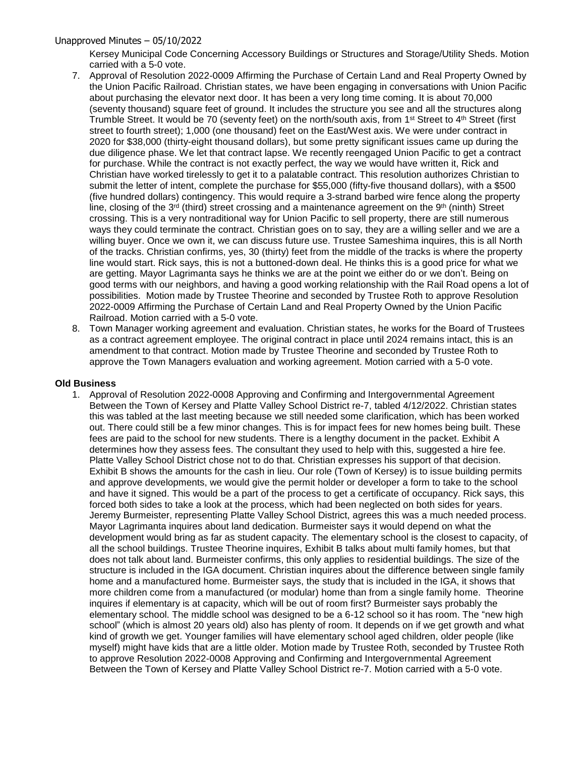## Unapproved Minutes – 05/10/2022

Kersey Municipal Code Concerning Accessory Buildings or Structures and Storage/Utility Sheds. Motion carried with a 5-0 vote.

- 7. Approval of Resolution 2022-0009 Affirming the Purchase of Certain Land and Real Property Owned by the Union Pacific Railroad. Christian states, we have been engaging in conversations with Union Pacific about purchasing the elevator next door. It has been a very long time coming. It is about 70,000 (seventy thousand) square feet of ground. It includes the structure you see and all the structures along Trumble Street. It would be 70 (seventy feet) on the north/south axis, from 1<sup>st</sup> Street to 4<sup>th</sup> Street (first street to fourth street); 1,000 (one thousand) feet on the East/West axis. We were under contract in 2020 for \$38,000 (thirty-eight thousand dollars), but some pretty significant issues came up during the due diligence phase. We let that contract lapse. We recently reengaged Union Pacific to get a contract for purchase. While the contract is not exactly perfect, the way we would have written it, Rick and Christian have worked tirelessly to get it to a palatable contract. This resolution authorizes Christian to submit the letter of intent, complete the purchase for \$55,000 (fifty-five thousand dollars), with a \$500 (five hundred dollars) contingency. This would require a 3-strand barbed wire fence along the property line, closing of the  $3^{rd}$  (third) street crossing and a maintenance agreement on the  $9^{th}$  (ninth) Street crossing. This is a very nontraditional way for Union Pacific to sell property, there are still numerous ways they could terminate the contract. Christian goes on to say, they are a willing seller and we are a willing buyer. Once we own it, we can discuss future use. Trustee Sameshima inquires, this is all North of the tracks. Christian confirms, yes, 30 (thirty) feet from the middle of the tracks is where the property line would start. Rick says, this is not a buttoned-down deal. He thinks this is a good price for what we are getting. Mayor Lagrimanta says he thinks we are at the point we either do or we don't. Being on good terms with our neighbors, and having a good working relationship with the Rail Road opens a lot of possibilities. Motion made by Trustee Theorine and seconded by Trustee Roth to approve Resolution 2022-0009 Affirming the Purchase of Certain Land and Real Property Owned by the Union Pacific Railroad. Motion carried with a 5-0 vote.
- 8. Town Manager working agreement and evaluation. Christian states, he works for the Board of Trustees as a contract agreement employee. The original contract in place until 2024 remains intact, this is an amendment to that contract. Motion made by Trustee Theorine and seconded by Trustee Roth to approve the Town Managers evaluation and working agreement. Motion carried with a 5-0 vote.

### **Old Business**

1. Approval of Resolution 2022-0008 Approving and Confirming and Intergovernmental Agreement Between the Town of Kersey and Platte Valley School District re-7, tabled 4/12/2022. Christian states this was tabled at the last meeting because we still needed some clarification, which has been worked out. There could still be a few minor changes. This is for impact fees for new homes being built. These fees are paid to the school for new students. There is a lengthy document in the packet. Exhibit A determines how they assess fees. The consultant they used to help with this, suggested a hire fee. Platte Valley School District chose not to do that. Christian expresses his support of that decision. Exhibit B shows the amounts for the cash in lieu. Our role (Town of Kersey) is to issue building permits and approve developments, we would give the permit holder or developer a form to take to the school and have it signed. This would be a part of the process to get a certificate of occupancy. Rick says, this forced both sides to take a look at the process, which had been neglected on both sides for years. Jeremy Burmeister, representing Platte Valley School District, agrees this was a much needed process. Mayor Lagrimanta inquires about land dedication. Burmeister says it would depend on what the development would bring as far as student capacity. The elementary school is the closest to capacity, of all the school buildings. Trustee Theorine inquires, Exhibit B talks about multi family homes, but that does not talk about land. Burmeister confirms, this only applies to residential buildings. The size of the structure is included in the IGA document. Christian inquires about the difference between single family home and a manufactured home. Burmeister says, the study that is included in the IGA, it shows that more children come from a manufactured (or modular) home than from a single family home. Theorine inquires if elementary is at capacity, which will be out of room first? Burmeister says probably the elementary school. The middle school was designed to be a 6-12 school so it has room. The "new high school" (which is almost 20 years old) also has plenty of room. It depends on if we get growth and what kind of growth we get. Younger families will have elementary school aged children, older people (like myself) might have kids that are a little older. Motion made by Trustee Roth, seconded by Trustee Roth to approve Resolution 2022-0008 Approving and Confirming and Intergovernmental Agreement Between the Town of Kersey and Platte Valley School District re-7. Motion carried with a 5-0 vote.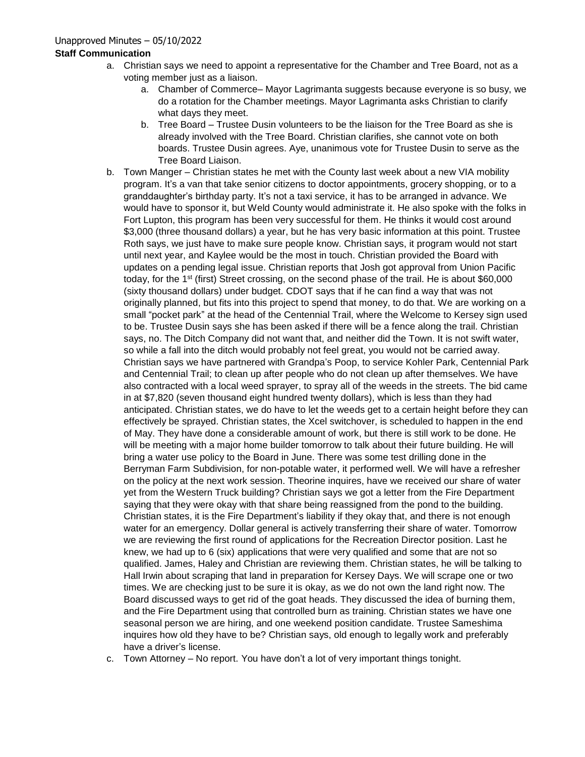# **Staff Communication**

- a. Christian says we need to appoint a representative for the Chamber and Tree Board, not as a voting member just as a liaison.
	- a. Chamber of Commerce– Mayor Lagrimanta suggests because everyone is so busy, we do a rotation for the Chamber meetings. Mayor Lagrimanta asks Christian to clarify what days they meet.
	- b. Tree Board Trustee Dusin volunteers to be the liaison for the Tree Board as she is already involved with the Tree Board. Christian clarifies, she cannot vote on both boards. Trustee Dusin agrees. Aye, unanimous vote for Trustee Dusin to serve as the Tree Board Liaison.
- b. Town Manger Christian states he met with the County last week about a new VIA mobility program. It's a van that take senior citizens to doctor appointments, grocery shopping, or to a granddaughter's birthday party. It's not a taxi service, it has to be arranged in advance. We would have to sponsor it, but Weld County would administrate it. He also spoke with the folks in Fort Lupton, this program has been very successful for them. He thinks it would cost around \$3,000 (three thousand dollars) a year, but he has very basic information at this point. Trustee Roth says, we just have to make sure people know. Christian says, it program would not start until next year, and Kaylee would be the most in touch. Christian provided the Board with updates on a pending legal issue. Christian reports that Josh got approval from Union Pacific today, for the 1<sup>st</sup> (first) Street crossing, on the second phase of the trail. He is about \$60,000 (sixty thousand dollars) under budget. CDOT says that if he can find a way that was not originally planned, but fits into this project to spend that money, to do that. We are working on a small "pocket park" at the head of the Centennial Trail, where the Welcome to Kersey sign used to be. Trustee Dusin says she has been asked if there will be a fence along the trail. Christian says, no. The Ditch Company did not want that, and neither did the Town. It is not swift water, so while a fall into the ditch would probably not feel great, you would not be carried away. Christian says we have partnered with Grandpa's Poop, to service Kohler Park, Centennial Park and Centennial Trail; to clean up after people who do not clean up after themselves. We have also contracted with a local weed sprayer, to spray all of the weeds in the streets. The bid came in at \$7,820 (seven thousand eight hundred twenty dollars), which is less than they had anticipated. Christian states, we do have to let the weeds get to a certain height before they can effectively be sprayed. Christian states, the Xcel switchover, is scheduled to happen in the end of May. They have done a considerable amount of work, but there is still work to be done. He will be meeting with a major home builder tomorrow to talk about their future building. He will bring a water use policy to the Board in June. There was some test drilling done in the Berryman Farm Subdivision, for non-potable water, it performed well. We will have a refresher on the policy at the next work session. Theorine inquires, have we received our share of water yet from the Western Truck building? Christian says we got a letter from the Fire Department saying that they were okay with that share being reassigned from the pond to the building. Christian states, it is the Fire Department's liability if they okay that, and there is not enough water for an emergency. Dollar general is actively transferring their share of water. Tomorrow we are reviewing the first round of applications for the Recreation Director position. Last he knew, we had up to 6 (six) applications that were very qualified and some that are not so qualified. James, Haley and Christian are reviewing them. Christian states, he will be talking to Hall Irwin about scraping that land in preparation for Kersey Days. We will scrape one or two times. We are checking just to be sure it is okay, as we do not own the land right now. The Board discussed ways to get rid of the goat heads. They discussed the idea of burning them, and the Fire Department using that controlled burn as training. Christian states we have one seasonal person we are hiring, and one weekend position candidate. Trustee Sameshima inquires how old they have to be? Christian says, old enough to legally work and preferably have a driver's license.
- c. Town Attorney No report. You have don't a lot of very important things tonight.